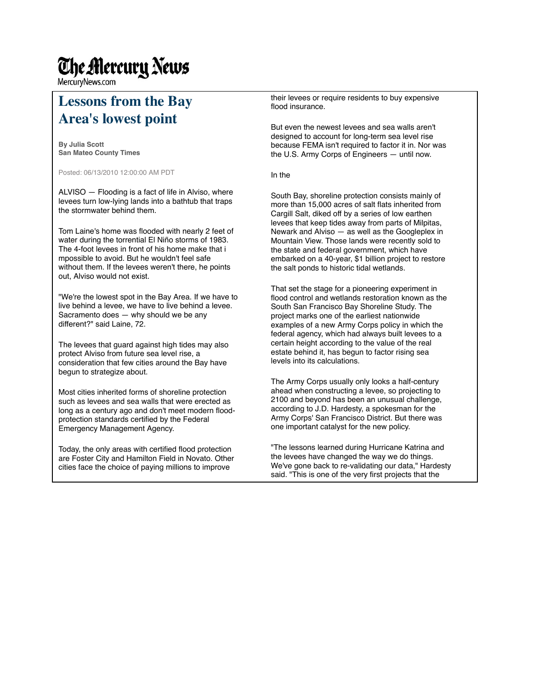## **The Mercury News**

MercuryNews.com

## **Lessons from the Bay Area's lowest point**

**By Julia Scott San Mateo County Times**

Posted: 06/13/2010 12:00:00 AM PDT

ALVISO — Flooding is a fact of life in Alviso, where levees turn low-lying lands into a bathtub that traps the stormwater behind them.

Tom Laine's home was flooded with nearly 2 feet of water during the torrential El Niño storms of 1983. The 4-foot levees in front of his home make that i mpossible to avoid. But he wouldn't feel safe without them. If the levees weren't there, he points out, Alviso would not exist.

"We're the lowest spot in the Bay Area. If we have to live behind a levee, we have to live behind a levee. Sacramento does — why should we be any different?" said Laine, 72.

The levees that guard against high tides may also protect Alviso from future sea level rise, a consideration that few cities around the Bay have begun to strategize about.

Most cities inherited forms of shoreline protection such as levees and sea walls that were erected as long as a century ago and don't meet modern floodprotection standards certified by the Federal Emergency Management Agency.

Today, the only areas with certified flood protection are Foster City and Hamilton Field in Novato. Other cities face the choice of paying millions to improve

their levees or require residents to buy expensive flood insurance.

But even the newest levees and sea walls aren't designed to account for long-term sea level rise because FEMA isn't required to factor it in. Nor was the U.S. Army Corps of Engineers — until now.

In the

South Bay, shoreline protection consists mainly of more than 15,000 acres of salt flats inherited from Cargill Salt, diked off by a series of low earthen levees that keep tides away from parts of Milpitas, Newark and Alviso — as well as the Googleplex in Mountain View. Those lands were recently sold to the state and federal government, which have embarked on a 40-year, \$1 billion project to restore the salt ponds to historic tidal wetlands.

That set the stage for a pioneering experiment in flood control and wetlands restoration known as the South San Francisco Bay Shoreline Study. The project marks one of the earliest nationwide examples of a new Army Corps policy in which the federal agency, which had always built levees to a certain height according to the value of the real estate behind it, has begun to factor rising sea levels into its calculations.

The Army Corps usually only looks a half-century ahead when constructing a levee, so projecting to 2100 and beyond has been an unusual challenge, according to J.D. Hardesty, a spokesman for the Army Corps' San Francisco District. But there was one important catalyst for the new policy.

"The lessons learned during Hurricane Katrina and the levees have changed the way we do things. We've gone back to re-validating our data," Hardesty said. "This is one of the very first projects that the